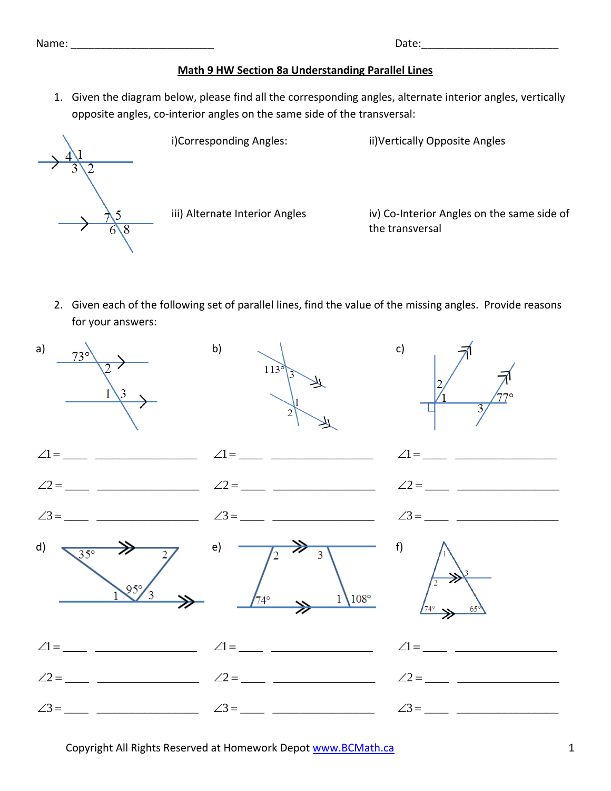Name: where  $\blacksquare$ 

|  |  | <b>Math 9 HW Section 8a Understanding Parallel Lines</b> |  |
|--|--|----------------------------------------------------------|--|
|  |  |                                                          |  |

1. Given the diagram below, please find all the corresponding angles, alternate interior angles, vertically opposite angles, co‐interior angles on the same side of the transversal:



i)Corresponding Angles: ii)Vertically Opposite Angles

iii) Alternate Interior Angles iv) Co-Interior Angles on the same side of the transversal

2. Given each of the following set of parallel lines, find the value of the missing angles. Provide reasons for your answers: